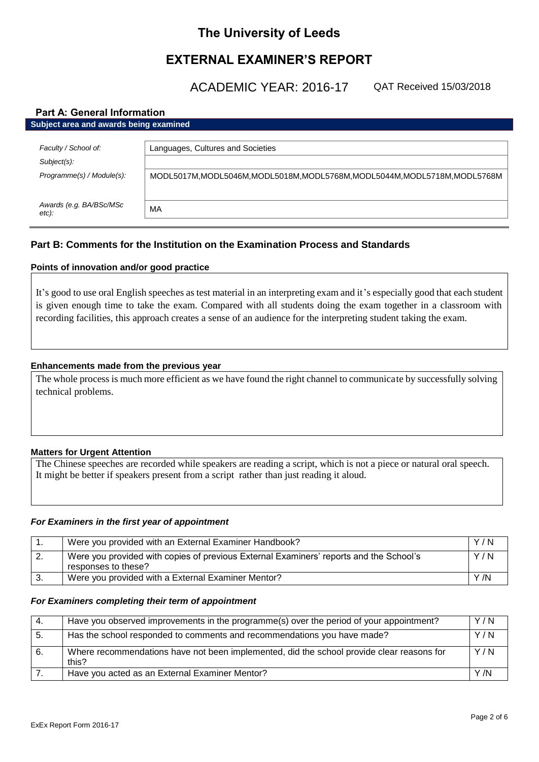# **The University of Leeds**

# **EXTERNAL EXAMINER'S REPORT**

ACADEMIC YEAR: 2016-17

QAT Received 15/03/2018

## **Part A: General Information**

| Subject area and awards being examined |                                                                       |  |
|----------------------------------------|-----------------------------------------------------------------------|--|
|                                        |                                                                       |  |
| Faculty / School of:                   | Languages, Cultures and Societies                                     |  |
| $Subject(s)$ :                         |                                                                       |  |
| Programme(s) / Module(s):              | MODL5017M,MODL5046M,MODL5018M,MODL5768M,MODL5044M,MODL5718M,MODL5768M |  |
|                                        |                                                                       |  |
| Awards (e.g. BA/BSc/MSc                |                                                                       |  |
| etc):                                  | МA                                                                    |  |
|                                        |                                                                       |  |

## **Part B: Comments for the Institution on the Examination Process and Standards**

## **Points of innovation and/or good practice**

It's good to use oral English speeches as test material in an interpreting exam and it's especially good that each student is given enough time to take the exam. Compared with all students doing the exam together in a classroom with recording facilities, this approach creates a sense of an audience for the interpreting student taking the exam.

### **Enhancements made from the previous year**

The whole process is much more efficient as we have found the right channel to communicate by successfully solving technical problems.

## **Matters for Urgent Attention**

The Chinese speeches are recorded while speakers are reading a script, which is not a piece or natural oral speech. It might be better if speakers present from a script rather than just reading it aloud.

#### *For Examiners in the first year of appointment*

|    | Were you provided with an External Examiner Handbook?                                                         | Y/N |
|----|---------------------------------------------------------------------------------------------------------------|-----|
| 2. | Were you provided with copies of previous External Examiners' reports and the School's<br>responses to these? | Y/N |
| 3. | Were you provided with a External Examiner Mentor?                                                            | Y/N |

#### *For Examiners completing their term of appointment*

| -4. | Have you observed improvements in the programme(s) over the period of your appointment?            | Y/N  |
|-----|----------------------------------------------------------------------------------------------------|------|
| -5. | Has the school responded to comments and recommendations you have made?                            | Y/N  |
| -6. | Where recommendations have not been implemented, did the school provide clear reasons for<br>this? | Y/N  |
|     | Have you acted as an External Examiner Mentor?                                                     | Y /N |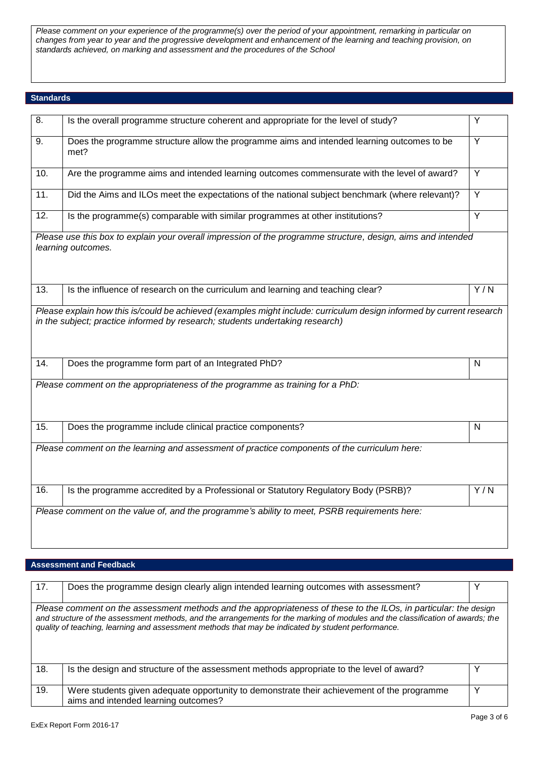*Please comment on your experience of the programme(s) over the period of your appointment, remarking in particular on changes from year to year and the progressive development and enhancement of the learning and teaching provision, on standards achieved, on marking and assessment and the procedures of the School*

#### **Standards**

| 8.                | Is the overall programme structure coherent and appropriate for the level of study?                                                                                                                   | Y              |
|-------------------|-------------------------------------------------------------------------------------------------------------------------------------------------------------------------------------------------------|----------------|
| 9.                | Does the programme structure allow the programme aims and intended learning outcomes to be<br>met?                                                                                                    | Y              |
| 10.               | Are the programme aims and intended learning outcomes commensurate with the level of award?                                                                                                           | Y              |
| $\overline{11}$ . | Did the Aims and ILOs meet the expectations of the national subject benchmark (where relevant)?                                                                                                       | $\overline{Y}$ |
| $\overline{12}$ . | Is the programme(s) comparable with similar programmes at other institutions?                                                                                                                         | $\overline{Y}$ |
|                   | Please use this box to explain your overall impression of the programme structure, design, aims and intended<br>learning outcomes.                                                                    |                |
| 13.               | Is the influence of research on the curriculum and learning and teaching clear?                                                                                                                       | Y/N            |
|                   | Please explain how this is/could be achieved (examples might include: curriculum design informed by current research<br>in the subject; practice informed by research; students undertaking research) |                |
| 14.               | Does the programme form part of an Integrated PhD?                                                                                                                                                    | $\mathsf{N}$   |
|                   | Please comment on the appropriateness of the programme as training for a PhD:                                                                                                                         |                |
| 15.               | Does the programme include clinical practice components?                                                                                                                                              | $\mathsf{N}$   |
|                   | Please comment on the learning and assessment of practice components of the curriculum here:                                                                                                          |                |
| 16.               | Is the programme accredited by a Professional or Statutory Regulatory Body (PSRB)?                                                                                                                    | Y/N            |
|                   | Please comment on the value of, and the programme's ability to meet, PSRB requirements here:                                                                                                          |                |

#### **Assessment and Feedback**

| 17.                                                                                                                                                                                                                                                                                                                                                      | Does the programme design clearly align intended learning outcomes with assessment?                                                |   |
|----------------------------------------------------------------------------------------------------------------------------------------------------------------------------------------------------------------------------------------------------------------------------------------------------------------------------------------------------------|------------------------------------------------------------------------------------------------------------------------------------|---|
| Please comment on the assessment methods and the appropriateness of these to the ILOs, in particular: the design<br>and structure of the assessment methods, and the arrangements for the marking of modules and the classification of awards; the<br>quality of teaching, learning and assessment methods that may be indicated by student performance. |                                                                                                                                    |   |
| 18.                                                                                                                                                                                                                                                                                                                                                      | Is the design and structure of the assessment methods appropriate to the level of award?                                           |   |
| 19.                                                                                                                                                                                                                                                                                                                                                      | Were students given adequate opportunity to demonstrate their achievement of the programme<br>aims and intended learning outcomes? | ∨ |